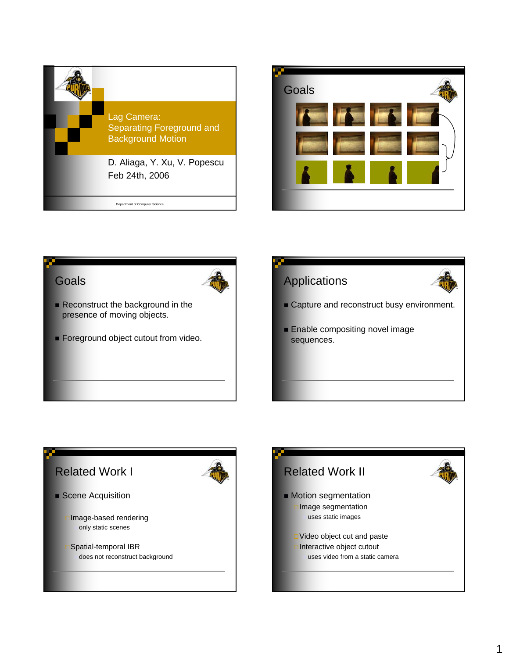







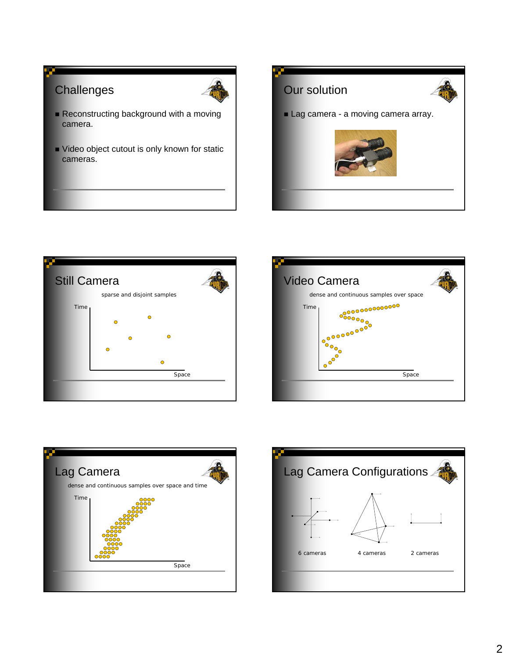



- Reconstructing background with a moving camera.
- Video object cutout is only known for static cameras.









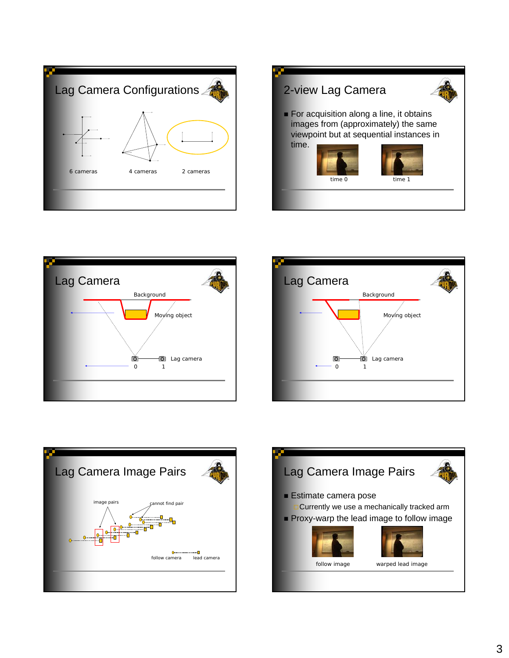









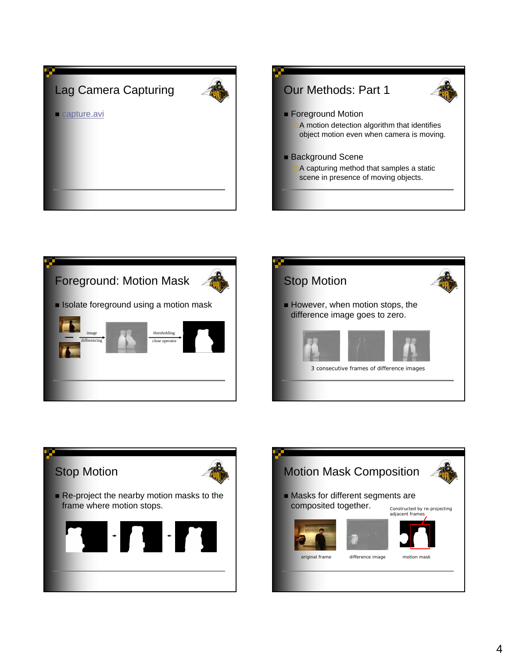









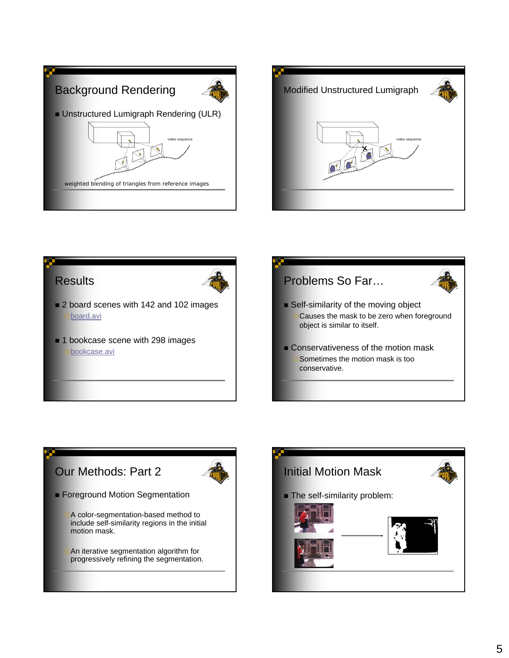







- 2 board scenes with 142 and 102 images board.avi
- 1 bookcase scene with 298 images **bookcase.avi**





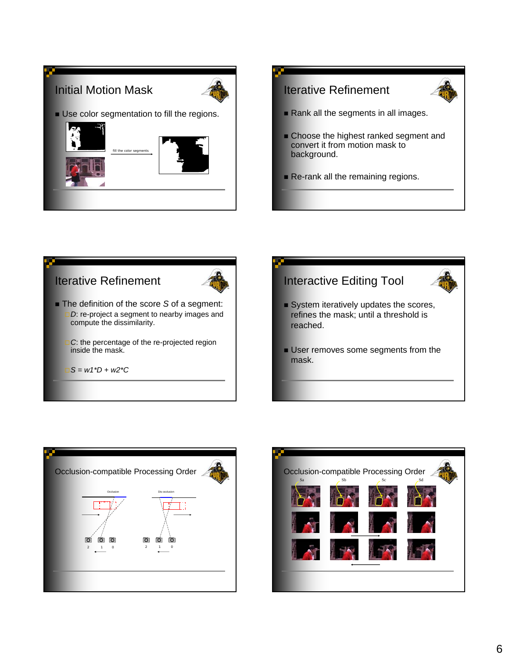